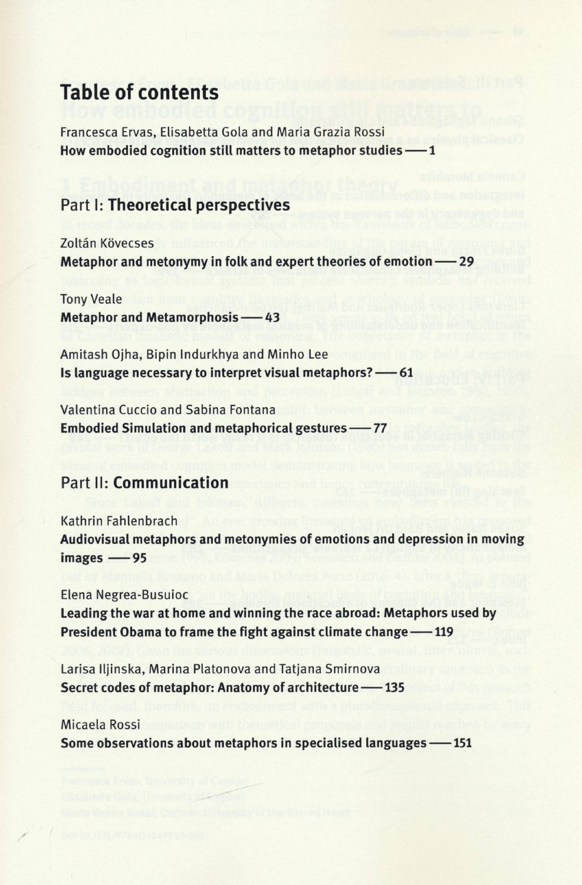# **Table of contents**

Francesca Ervas, Elisabetta Gola and Maria Grazia Rossi **How embodied cognition still matters to metaphor studies 1**

## Part **I: Theoretical perspectives**

Zoltán Kövecses **Metaphor and metonymy in folk and expert theories of emotion — 29**

Tony Veale **Metaphor and Metamorphosis -43** 

Amitash Ojha, Bipin Indurkhya and Minho Lee **Is language necessary to interpret visual metaphors? -61** 

Valentina Cuccio and Sabina Fontana **Embodied Simulation and metaphorical gestures -77** 

## Part **II: Communication**

Kathrin Fahlenbrach **Audiovisual metaphors and metonymies of emotions and depression in moving images -85** 

Elena Negrea-Busuioc **Leading the war at home and winning the race abroad: Metaphors used by President Obama to frame the fight against climate change -119** 

Larisa lljinska, Marina Platonova and Tatjana Smirnova **Secret codes of metaphor: Anatomy of architecture -135** 

### Micaela Rossi **Some observations about metaphors in specialised languages -151**